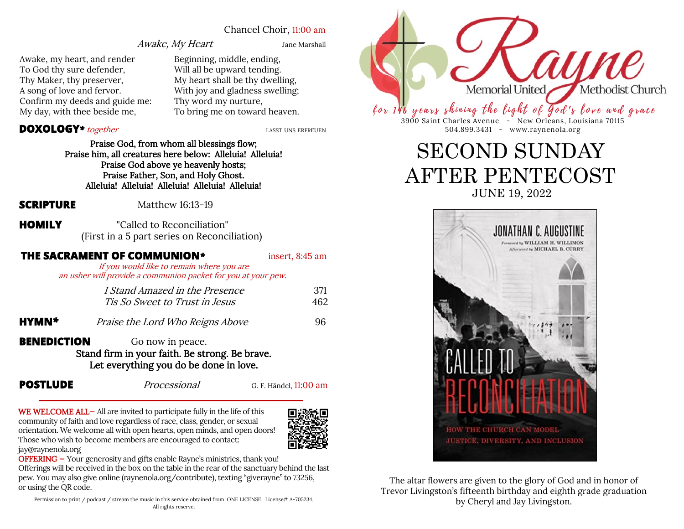#### Chancel Choir, 11:00 am

#### Awake, My Heart Jane Marshall

Awake, my heart, and render To God thy sure defender, Thy Maker, thy preserver, A song of love and fervor. Confirm my deeds and guide me: My day, with thee beside me,

Beginning, middle, ending, Will all be upward tending. My heart shall be thy dwelling, With joy and gladness swelling; Thy word my nurture,

#### **DOXOLOGY**<sup>\*</sup> together<br> **LASST UNS ERFREUEN**

Praise God, from whom all blessings flow; Praise him, all creatures here below: Alleluia! Alleluia! Praise God above ye heavenly hosts; Praise Father, Son, and Holy Ghost. Alleluia! Alleluia! Alleluia! Alleluia! Alleluia!

**SCRIPTURE** Matthew 16:13-19

**HOMILY** "Called to Reconciliation" (First in a 5 part series on Reconciliation)

#### **THE SACRAMENT OF COMMUNION***\** insert, 8:45 am

If you would like to remain where you are an usher will provide a communion packet for you at your pew.

|                                                                                          | I Stand Amazed in the Presence<br>Tis So Sweet to Trust in Jesus | 371<br>462 |
|------------------------------------------------------------------------------------------|------------------------------------------------------------------|------------|
| HYMN*                                                                                    | Praise the Lord Who Reigns Above                                 | 96         |
| <b>BENEDICTION</b><br>Go now in peace.<br>Stand firm in your faith. Be strong. Be brave. |                                                                  |            |

Let everything you do be done in love.

**POSTLUDE** Processional G. F. Händel, 11:00 am

WE WELCOME ALL- All are invited to participate fully in the life of this community of faith and love regardless of race, class, gender, or sexual orientation. We welcome all with open hearts, open minds, and open doors! Those who wish to become members are encouraged to contact: jay@raynenola.org



OFFERING - Your generosity and gifts enable Rayne's ministries, thank you! Offerings will be received in the box on the table in the rear of the sanctuary behind the last

pew. You may also give online (raynenola.org/contribute), texting "giverayne" to 73256, or using the QR code.

Permission to print / podcast / stream the music in this service obtained from ONE LICENSE, License# A-705234. All rights reserve.



Thy word my huiture,<br>To bring me on toward heaven.  $\ell$  or 146 years shining the light of god's love and grace 3900 Saint Charles Avenue - New Orleans, Louisiana 70115 504.899.3431 - www.raynenola.org

## SECOND SUNDAY AFTER PENTECOST JUNE 19, 2022



The altar flowers are given to the glory of God and in honor of Trevor Livingston's fifteenth birthday and eighth grade graduation by Cheryl and Jay Livingston.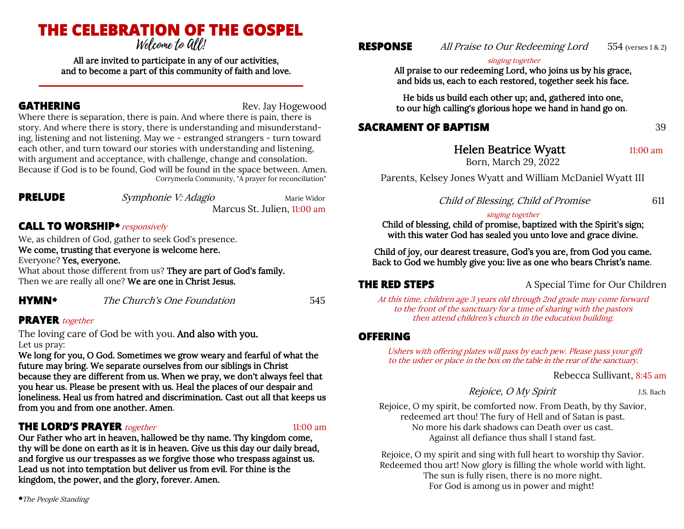# **THE CELEBRATION OF THE GOSPEL**

All are invited to participate in any of our activities, and to become a part of this community of faith and love.

**GATHERING** Rev. Jay Hogewood

Where there is separation, there is pain. And where there is pain, there is story. And where there is story, there is understanding and misunderstanding, listening and not listening. May we - estranged strangers - turn toward each other, and turn toward our stories with understanding and listening, with argument and acceptance, with challenge, change and consolation. Because if God is to be found, God will be found in the space between. Amen. Corrymeela Community, "A prayer for reconciliation"

**PRELUDE** *Symphonie V: Adagio* Marie Widor

Marcus St. Julien, 11:00 am

### **CALL TO WORSHIP***\**responsively

We, as children of God, gather to seek God's presence. We come, trusting that everyone is welcome here. Everyone? Yes, everyone.

What about those different from us? They are part of God's family. Then we are really all one? We are one in Christ Jesus.

**HYMN***\** The Church's One Foundation 545

### **PRAYER** together

The loving care of God be with you. And also with you. Let us pray:

We long for you, O God. Sometimes we grow weary and fearful of what the future may bring. We separate ourselves from our siblings in Christ because they are different from us. When we pray, we don't always feel that you hear us. Please be present with us. Heal the places of our despair and loneliness. Heal us from hatred and discrimination. Cast out all that keeps us from you and from one another. Amen.

### **THE LORD'S PRAYER** *together* 11:00 am

Our Father who art in heaven, hallowed be thy name. Thy kingdom come, thy will be done on earth as it is in heaven. Give us this day our daily bread, and forgive us our trespasses as we forgive those who trespass against us. Lead us not into temptation but deliver us from evil. For thine is the kingdom, the power, and the glory, forever. Amen.

### **RESPONSE** All Praise to Our Redeeming Lord 554 (verses 1 & 2)

#### singing together

All praise to our redeeming Lord, who joins us by his grace, and bids us, each to each restored, together seek his face.

He bids us build each other up; and, gathered into one, to our high calling's glorious hope we hand in hand go on.

### **SACRAMENT OF BAPTISM** 39

Helen Beatrice Wyatt 11:00 am Born, March 29, 2022

Parents, Kelsey Jones Wyatt and William McDaniel Wyatt III

Child of Blessing, Child of Promise 611

#### singing together

Child of blessing, child of promise, baptized with the Spirit's sign; with this water God has sealed you unto love and grace divine.

Child of joy, our dearest treasure, God's you are, from God you came. Back to God we humbly give you: live as one who bears Christ's name.

**THE RED STEPS** A Special Time for Our Children

At this time, children age 3 years old through 2nd grade may come forward to the front of the sanctuary for a time of sharing with the pastors then attend children's church in the education building.

#### **OFFERING**

Ushers with offering plates will pass by each pew. Please pass your gift to the usher or place in the box on the table in the rear of the sanctuary.

Rebecca Sullivant, 8:45 am

#### Rejoice, O My Spirit J.S. Bach

Rejoice, O my spirit, be comforted now. From Death, by thy Savior, redeemed art thou! The fury of Hell and of Satan is past. No more his dark shadows can Death over us cast. Against all defiance thus shall I stand fast.

Rejoice, O my spirit and sing with full heart to worship thy Savior. Redeemed thou art! Now glory is filling the whole world with light. The sun is fully risen, there is no more night. For God is among us in power and might!